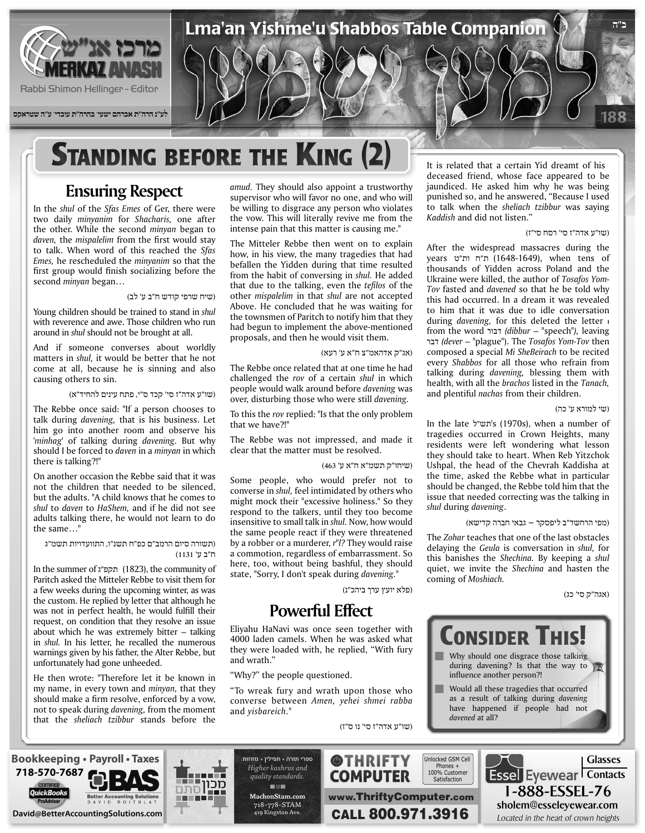

# **STANDING BEFORE THE KING (2)**

## **Ensuring Respect**

In the shul of the Sfas Emes of Ger, there were two daily *minyanim* for *Shacharis*, one after the other. While the second *minyan* began to daven, the *mispalelim* from the first would stav to talk. When word of this reached the *Sfas* Emes, he rescheduled the *minyanim* so that the first group would finish socializing before the second *minyan* began...

### (שיח שרפי קודש ח"ב ע' לב)

Young children should be trained to stand in shul with reverence and awe. Those children who run around in *shul* should not be brought at all.

And if someone converses about worldly matters in *shul*, it would be better that he not come at all, because he is sinning and also causing others to sin.

(שו"ע אדה"ז סי' קכד ס"י, פתח עינים להחיד"א)

The Rebbe once said: "If a person chooses to talk during *davening*, that is his business. Let him go into another room and observe his '*minhag'* of talking during *davening*. But why should I be forced to *daven* in a *minyan* in which there is talking?!"

On another occasion the Rebbe said that it was not the children that needed to be silenced. but the adults. "A child knows that he comes to shul to daven to *HaShem*, and if he did not see adults talking there, he would not learn to do the same...

### (תשורה סיום הרמב"ם כפ"ח תשנ"ו, התוועדויות תשמ"ג ח"ב ע' 1131)

In the summer of  $x$ "תקפ"ג (1823), the community of Paritch asked the Mitteler Rebbe to visit them for a few weeks during the upcoming winter, as was the custom. He replied by letter that although he was not in perfect health, he would fulfill their request, on condition that they resolve an issue about which he was extremely bitter  $-$  talking in *shul*. In his letter, he recalled the numerous warnings given by his father, the Alter Rebbe, but unfortunately had gone unheeded.

He then wrote: "Therefore let it be known in my name, in every town and *minyan*, that they should make a firm resolve, enforced by a vow, not to speak during *davening*, from the moment that the *sheliach tzibbur* stands before the

amud. They should also appoint a trustworthy supervisor who will favor no one, and who will be willing to disgrace any person who violates the vow. This will literally revive me from the intense pain that this matter is causing me."

The Mitteler Rebbe then went on to explain how, in his view, the many tragedies that had befallen the Yidden during that time resulted from the habit of conversing in *shul*. He added that due to the talking, even the *tefilos* of the other *mispalelim* in that *shul* are not accepted Above. He concluded that he was waiting for the townsmen of Paritch to notify him that they had begun to implement the above-mentioned proposals, and then he would visit them.

(אג"ק אדהאמ"צ ח"א ע' רעא)

The Rebbe once related that at one time he had challenged the *rov* of a certain shul in which people would walk around before *davening* was over, disturbing those who were still davening.

To this the rov replied: "Is that the only problem that we have?!"

The Rebbe was not impressed, and made it clear that the matter must be resolved.

(שיחו"ק תשמ"א ח"א ע' 463)

Some people, who would prefer not to converse in *shul*, feel intimidated by others who might mock their "excessive holiness." So they respond to the talkers, until they too become insensitive to small talk in shul. Now, how would the same people react if they were threatened by a robber or a murderer, r<sup>"</sup>*l*? They would raise a commotion, regardless of embarrassment. So here, too, without being bashful, they should state, "Sorry, I don't speak during *davening*."

(פלא יועץ ערך ביהכ"נ)

### **Powerful Effect**

Eliyahu HaNavi was once seen together with 4000 laden camels. When he was asked what they were loaded with, he replied, "With fury and wrath."

"Why?" the people questioned.

"To wreak fury and wrath upon those who converse between Amen, yehei shmei rabba and yisbareich."

(שו"ע אדה"ז סי' נו ס"ז)

**@THRIFTY COMPUTER** 

It is related that a certain Yid dreamt of his deceased friend, whose face appeared to be jaundiced. He asked him why he was being punished so, and he answered, "Because I used to talk when the *sheliach tzibbur* was saying Kaddish and did not listen."

#### (שו"ע אדה"ז סי' רסח סי"ז)

After the widespread massacres during the vears ות"ח ות"ט (1648-1649), when tens of thousands of Yidden across Poland and the Toy fasted and *davened* so that he be told why Ukraine were killed, the author of Tosafos Yomthis had occurred. In a dream it was revealed to him that it was due to idle conversation during *davening*, for this deleted the letter  $\overline{\phantom{a}}$ from the word *יבור (dibbur –* "speech"), leaving then *Tov-Yom Tosafos* The .")plague – "*dever (*דבר composed a special Mi SheBeirach to be recited every *Shabbos* for all those who refrain from talking during *davening*, blessing them with health, with all the *brachos* listed in the Tanach, and plentiful *nachas* from their children.

#### (שי למורא ע' כה)

In the late 'תש"ל (1970s), when a number of tragedies occurred in Crown Heights, many residents were left wondering what lesson they should take to heart. When Reb Yitzchok Ushpal, the head of the Chevrah Kaddisha at the time, asked the Rebbe what in particular should be changed, the Rebbe told him that the issue that needed correcting was the talking in shul during davening.

(מפי הרחשד"ב ליפסקר – גבאי חברה קדישא)

The Zohar teaches that one of the last obstacles delaying the *Geula* is conversation in *shul*, for this banishes the *Shechina*. By keeping a shul quiet, we invite the *Shechina* and hasten the coming of *Moshiach*.

(אגה"ק סי' כג)



sholem@esseleyewear.com



**718-570-7687**



ספרי תורה - תפילין - מזוזות **Higher** kashrus and *.standards quality* **THE com.MachonStam** 718-778-STAM 419 Kingston Ave.